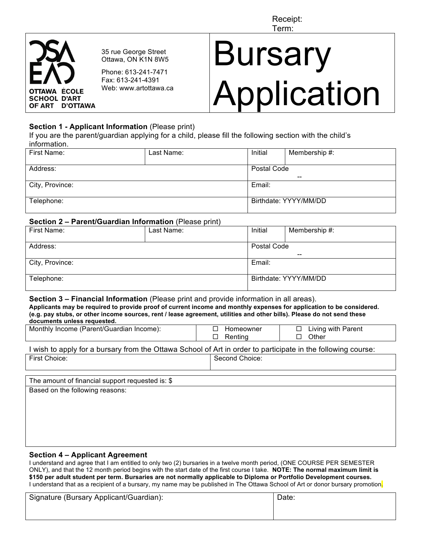Receipt: Term:



35 rue George Street Ottawa, ON K1N 8W5

Phone: 613-241-7471 Fax: 613-241-4391 Web: www.artottawa.ca

# **Bursary** Application

### **Section 1 - Applicant Information** (Please print)

If you are the parent/guardian applying for a child, please fill the following section with the child's information.

| First Name:     | Last Name: | Initial               | Membership #: |  |
|-----------------|------------|-----------------------|---------------|--|
|                 |            |                       |               |  |
| Address:        |            | Postal Code           |               |  |
|                 |            | $- -$                 |               |  |
| City, Province: |            | Email:                |               |  |
|                 |            |                       |               |  |
| Telephone:      |            | Birthdate: YYYY/MM/DD |               |  |
|                 |            |                       |               |  |

#### **Section 2 – Parent/Guardian Information** (Please print)

| First Name:     | Last Name: | Initial<br>Membership #: |                       |  |  |
|-----------------|------------|--------------------------|-----------------------|--|--|
| Address:        |            |                          | Postal Code<br>$- -$  |  |  |
| City, Province: |            | Email:                   |                       |  |  |
| Telephone:      |            |                          | Birthdate: YYYY/MM/DD |  |  |

#### **Section 3 – Financial Information** (Please print and provide information in all areas).

| Applicants may be required to provide proof of current income and monthly expenses for application to be considered.   |  |
|------------------------------------------------------------------------------------------------------------------------|--|
| (e.g. pay stubs, or other income sources, rent / lease agreement, utilities and other bills). Please do not send these |  |
| documents unless requested.                                                                                            |  |
|                                                                                                                        |  |

| Monthly Income (Parent/Guardian Income): | Homeowner | Living with Parent |
|------------------------------------------|-----------|--------------------|
|                                          | Rentinc   | <b>Other</b>       |
|                                          |           |                    |

| I wish to apply for a bursary from the Ottawa School of Art in order to participate in the following course: |                |  |  |
|--------------------------------------------------------------------------------------------------------------|----------------|--|--|
| First Choice:                                                                                                | Second Choice: |  |  |

| The amount of financial support requested is: \$ |
|--------------------------------------------------|
| Based on the following reasons:                  |

#### **Section 4 – Applicant Agreement**

I understand and agree that I am entitled to only two (2) bursaries in a twelve month period, (ONE COURSE PER SEMESTER ONLY), and that the 12 month period begins with the start date of the first course I take. **NOTE: The normal maximum limit is \$150 per adult student per term. Bursaries are not normally applicable to Diploma or Portfolio Development courses.** I understand that as a recipient of a bursary, my name may be published in The Ottawa School of Art or donor bursary promotion.

| Signature (Bursary Applicant/Guardian): | Date: |
|-----------------------------------------|-------|
|                                         |       |